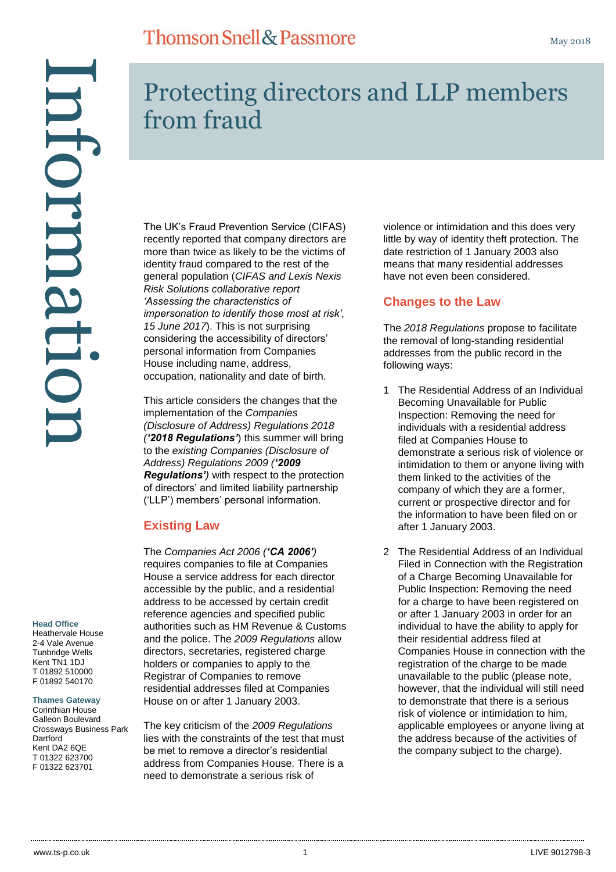## **Thomson Snell & Passmore**

Information mformati

#### **Head Office**

Heathervale House 2-4 Vale Avenue Tunbridge Wells Kent TN1 1DJ T 01892 510000 F 01892 540170

#### **Thames Gateway**

Corinthian House Galleon Boulevard Crossways Business Park **Dartford** Kent DA2 6QE T 01322 623700 F 01322 623701

# Protecting directors and LLP members from fraud

The UK's Fraud Prevention Service (CIFAS) recently reported that company directors are more than twice as likely to be the victims of identity fraud compared to the rest of the general population (*CIFAS and Lexis Nexis Risk Solutions collaborative report 'Assessing the characteristics of impersonation to identify those most at risk', 15 June 2017*). This is not surprising considering the accessibility of directors' personal information from Companies House including name, address, occupation, nationality and date of birth.

This article considers the changes that the implementation of the *Companies (Disclosure of Address) Regulations 2018 ('2018 Regulations'*) this summer will bring to the *existing Companies (Disclosure of Address) Regulations 2009 ('2009 Regulations')* with respect to the protection of directors' and limited liability partnership ('LLP') members' personal information.

#### **Existing Law**

The *Companies Act 2006 ('CA 2006')* requires companies to file at Companies House a service address for each director accessible by the public, and a residential address to be accessed by certain credit reference agencies and specified public authorities such as HM Revenue & Customs and the police. The *2009 Regulations* allow directors, secretaries, registered charge holders or companies to apply to the Registrar of Companies to remove residential addresses filed at Companies House on or after 1 January 2003.

The key criticism of the *2009 Regulations* lies with the constraints of the test that must be met to remove a director's residential address from Companies House. There is a need to demonstrate a serious risk of

violence or intimidation and this does very little by way of identity theft protection. The date restriction of 1 January 2003 also means that many residential addresses have not even been considered.

### **Changes to the Law**

The *2018 Regulations* propose to facilitate the removal of long-standing residential addresses from the public record in the following ways:

- 1 The Residential Address of an Individual Becoming Unavailable for Public Inspection: Removing the need for individuals with a residential address filed at Companies House to demonstrate a serious risk of violence or intimidation to them or anyone living with them linked to the activities of the company of which they are a former, current or prospective director and for the information to have been filed on or after 1 January 2003.
- 2 The Residential Address of an Individual Filed in Connection with the Registration of a Charge Becoming Unavailable for Public Inspection: Removing the need for a charge to have been registered on or after 1 January 2003 in order for an individual to have the ability to apply for their residential address filed at Companies House in connection with the registration of the charge to be made unavailable to the public (please note, however, that the individual will still need to demonstrate that there is a serious risk of violence or intimidation to him, applicable employees or anyone living at the address because of the activities of the company subject to the charge).